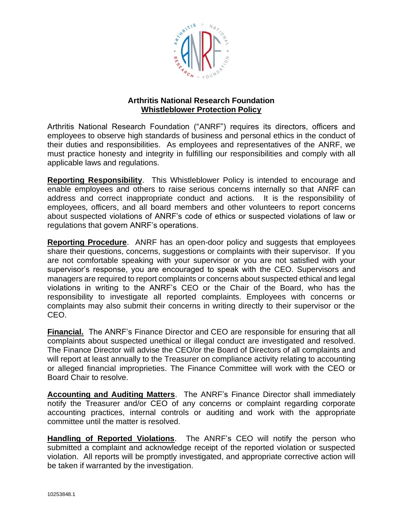

## **Arthritis National Research Foundation Whistleblower Protection Policy**

Arthritis National Research Foundation ("ANRF") requires its directors, officers and employees to observe high standards of business and personal ethics in the conduct of their duties and responsibilities. As employees and representatives of the ANRF, we must practice honesty and integrity in fulfilling our responsibilities and comply with all applicable laws and regulations.

**Reporting Responsibility**. This Whistleblower Policy is intended to encourage and enable employees and others to raise serious concerns internally so that ANRF can address and correct inappropriate conduct and actions. It is the responsibility of employees, officers, and all board members and other volunteers to report concerns about suspected violations of ANRF's code of ethics or suspected violations of law or regulations that govern ANRF's operations.

**Reporting Procedure**. ANRF has an open-door policy and suggests that employees share their questions, concerns, suggestions or complaints with their supervisor. If you are not comfortable speaking with your supervisor or you are not satisfied with your supervisor's response, you are encouraged to speak with the CEO. Supervisors and managers are required to report complaints or concerns about suspected ethical and legal violations in writing to the ANRF's CEO or the Chair of the Board, who has the responsibility to investigate all reported complaints. Employees with concerns or complaints may also submit their concerns in writing directly to their supervisor or the CEO.

**Financial.** The ANRF's Finance Director and CEO are responsible for ensuring that all complaints about suspected unethical or illegal conduct are investigated and resolved. The Finance Director will advise the CEO/or the Board of Directors of all complaints and will report at least annually to the Treasurer on compliance activity relating to accounting or alleged financial improprieties. The Finance Committee will work with the CEO or Board Chair to resolve.

**Accounting and Auditing Matters**. The ANRF's Finance Director shall immediately notify the Treasurer and/or CEO of any concerns or complaint regarding corporate accounting practices, internal controls or auditing and work with the appropriate committee until the matter is resolved.

**Handling of Reported Violations**. The ANRF's CEO will notify the person who submitted a complaint and acknowledge receipt of the reported violation or suspected violation. All reports will be promptly investigated, and appropriate corrective action will be taken if warranted by the investigation.